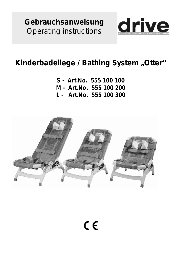**Gebrauchsanweisung**  *Operating instructions* 



## **Kinderbadeliege /** *Bathing System* **"***Otter***"**

- **S Art.No. 555 100 100**
- **M - Art.No. 555 100 200**
- **L Art.No. 555 100 300**

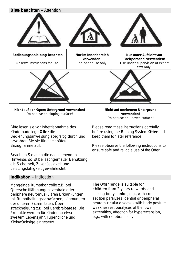| Bitte beachten - Attention                                                                                                                                                                                                                                                                                                                             |  |                                                                                                                                                                                                                                                                                                                           |                                                                                                     |  |
|--------------------------------------------------------------------------------------------------------------------------------------------------------------------------------------------------------------------------------------------------------------------------------------------------------------------------------------------------------|--|---------------------------------------------------------------------------------------------------------------------------------------------------------------------------------------------------------------------------------------------------------------------------------------------------------------------------|-----------------------------------------------------------------------------------------------------|--|
|                                                                                                                                                                                                                                                                                                                                                        |  |                                                                                                                                                                                                                                                                                                                           |                                                                                                     |  |
| Bedienungsanleitung beachten<br>Observe instructions for use!                                                                                                                                                                                                                                                                                          |  | Nur im Innenbereich<br>verwenden!<br>For indoor use only!                                                                                                                                                                                                                                                                 | Nur unter Aufsicht von<br>Fachpersonal verwenden!<br>Use under supervision of expert<br>staff only! |  |
|                                                                                                                                                                                                                                                                                                                                                        |  |                                                                                                                                                                                                                                                                                                                           |                                                                                                     |  |
| Nicht auf schrägem Untergrund verwenden!<br>Do not use on sloping surface!                                                                                                                                                                                                                                                                             |  | Nicht auf unebenem Untergrund<br>verwenden!<br>Do not use on uneven surface!                                                                                                                                                                                                                                              |                                                                                                     |  |
| Bitte lesen sie vor Inbetriebnahme des<br>Kinderbadeliege Otter die<br>Bedienungsanweisung sorgfältig durch und<br>bewahren Sie sie für eine spätere<br>Bezugnahme auf.                                                                                                                                                                                |  | Please read these instructions carefully<br>before using the Bathing System Otter and<br>keep them for later reference.<br>Please observe the following instructions to<br>ensure safe and reliable use of the Otter.                                                                                                     |                                                                                                     |  |
| Beachten Sie auch die nachstehenden<br>Hinweise, so ist bei sachgemäßer Benutzung<br>die Sicherheit, Zuverlässigkeit und<br>Leistungsfähigkeit gewährleistet.                                                                                                                                                                                          |  |                                                                                                                                                                                                                                                                                                                           |                                                                                                     |  |
| Indikation - Indication                                                                                                                                                                                                                                                                                                                                |  |                                                                                                                                                                                                                                                                                                                           |                                                                                                     |  |
| Mangelnde Rumpfkontrolle z.B. bei<br>Querschnittlähmungen, zentrale oder<br>periphere neuromuskulären Erkrankungen<br>mit Rumpfhaltungsschwächen, Lähmungen<br>der unteren Extremitäten, Über-<br>streckneigung z.B. bei Cerebralparese. Die<br>Produkte werden für Kinder ab etwa<br>zweitem Lebensjahr, Jugendliche und<br>Kleinwüchsige eingesetzt. |  | The Otter range is suitable for<br>children from 2 years upwards and.<br>lacking body control, e.g., with cross<br>section paralyses, central or peripheral<br>neuromuscular diseases with body posture<br>weaknesses, paralyses of the lower<br>extremities, affection for hyperextension,<br>e.g., with cerebral palsy. |                                                                                                     |  |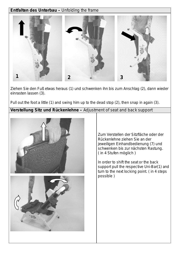## **Entfalten des Unterbau –** *Unfolding the frame*



Ziehen Sie den Fuß etwas heraus (1) und schwenken ihn bis zum Anschlag (2), dann wieder einrasten lassen (3).

*Pull out the foot a little (1) and swing him up to the dead stop (2), then snap in again (3)*.

**Verstellung Sitz und Rückenlehne –** *Adjustment of seat and back support*



Zum Verstellen der Sitzfläche oder der Rückenlehne ziehen Sie an der jeweiligen Einhandbedienung (7) und schwenken bis zur nächsten Rastung. ( in 4 Stufen möglich )

*In order to shift the seat or the back support pull the respective Uni-Bar(1) and turn to the next locking point. ( in 4 steps possible )*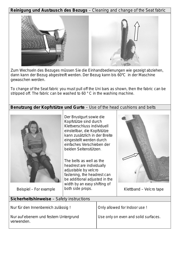**Reinigung und Austausch des Bezugs** – *Cleaning and change of the Seat fabric*



Zum Wechseln des Bezuges müssen Sie die Einhandbedienungen wie gezeigt abziehen, dann kann der Bezug abgestreift werden. Der Bezug kann bis 60°C in der Maschine gewaschen werden.

*To change of the Seat fabric you must pull off the Uni bars as shown, then the fabric can be stripped off. The fabric can be washed to 60 ° C in the washing machine.* 

**Benutzung der Kopfstütze und Gurte** – *Use of the head cushions and belts*



Beispiel – *For example*

Der Brustgurt sowie die Kopfstütze sind durch Klettverschluss individuell einstellbar, die Kopfstütze kann zusätzlich in der Breite eingestellt werden durch einfaches Verschieben der beiden Seitenstützen.

*The belts as well as the headrest are individually adjustable by velcro fastening, the headrest can be additional adjusted in the width by an easy shifting of both side props.* Klettband – *Velcro tape*



| Sicherheitshinweise - Safety instructions          |                                      |  |
|----------------------------------------------------|--------------------------------------|--|
| Nur für den Innenbereich zulässig!                 | Only allowed for Indoor use !        |  |
| Nur auf ebenem und festem Untergrund<br>verwenden. | Use only on even and solid surfaces. |  |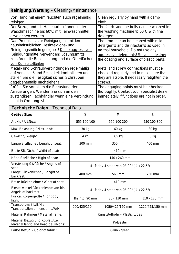| Reinigung/Wartung - Cleaning/Maintenance                                         |                                             |                                                                                 |                                                                                        |                 |  |
|----------------------------------------------------------------------------------|---------------------------------------------|---------------------------------------------------------------------------------|----------------------------------------------------------------------------------------|-----------------|--|
| Von Hand mit einem feuchten Tuch regelmäßig<br>reinigen!                         |                                             | Clean regularly by hand with a damp<br>cloth!                                   |                                                                                        |                 |  |
| Der Bezug und die Haltegurte können in der                                       |                                             | The fabric and the belts can be washed in                                       |                                                                                        |                 |  |
| Waschmaschine bis 60°C mit Feinwaschmittel                                       |                                             | the washing machine to 60°C with fine                                           |                                                                                        |                 |  |
| gewaschen werden.                                                                |                                             | detergent.                                                                      |                                                                                        |                 |  |
| Das Produkt ist zur Reinigung mit milden<br>haushaltsüblichen Desinfektions- und |                                             | The product can be cleaned with mild<br>detergents and disinfectants as used in |                                                                                        |                 |  |
| Reinigungsmitteln geeignet ! Keine aggressiven                                   |                                             | normal household. Do not use any                                                |                                                                                        |                 |  |
| Reinigungsmittel verwenden! Lösungsmittel                                        |                                             | aggressive detergents! Solvents destroy                                         |                                                                                        |                 |  |
| zerstören die Beschichtung und die Oberflächen                                   |                                             | the coating and surface of plastic parts.                                       |                                                                                        |                 |  |
| von Kunststoffteilen                                                             |                                             |                                                                                 |                                                                                        |                 |  |
| Metall- und Schraubverbindungen regelmäßig                                       |                                             | Metal and screw connections must be                                             |                                                                                        |                 |  |
| auf Verschleiß und Festigkeit kontrollieren und                                  |                                             |                                                                                 | checked regularly and to make sure that<br>they are stable. If necessary retighten the |                 |  |
| stellen Sie die Festigkeit sicher. Schrauben<br>gegebenenfalls nachziehen!       |                                             | screws.                                                                         |                                                                                        |                 |  |
| Prüfen Sie vor allem die Einrastung der                                          |                                             |                                                                                 | The engaging points must be checked                                                    |                 |  |
| Arretierungen; Wenden Sie sich an den                                            |                                             |                                                                                 | thoroughly. Contact your specialist dealer                                             |                 |  |
| zuständigen Fachhändler wenn eine Verbindung                                     |                                             |                                                                                 | immediately if functions are not in order.                                             |                 |  |
| nicht in Ordnung ist.                                                            |                                             |                                                                                 |                                                                                        |                 |  |
| Technische Daten - Technical Data                                                |                                             |                                                                                 |                                                                                        |                 |  |
| Größe / Size:                                                                    | S                                           |                                                                                 | M                                                                                      | L               |  |
| Art.Nr. / Art.No.::                                                              | 555 100 100                                 |                                                                                 | 550 100 200                                                                            | 550 100 300     |  |
| Max. Belastung / Max. load:                                                      | 30 kg                                       |                                                                                 | 60 kg                                                                                  | 80 kg           |  |
| Gewicht / Weight:                                                                | 4 kg                                        |                                                                                 | $4,5$ kg                                                                               | $5$ kg          |  |
| Länge Sitzfläche / Lenght of seat:                                               | 300 mm                                      |                                                                                 | 350 mm                                                                                 | 400 mm          |  |
| Breite Sitzfläche / Widht of seat:                                               |                                             |                                                                                 | 410 mm                                                                                 |                 |  |
| Höhe Sitzfläche / Hight of seat:                                                 | 140 / 260 mm                                |                                                                                 |                                                                                        |                 |  |
| Verstellung Sitzfläche / Angels of<br>seat:                                      | 4 - fach / 4 steps von 0° - 90° (4 x 22,5°) |                                                                                 |                                                                                        |                 |  |
| Länge Rückenlehne / Lenght of<br>backrest:                                       | 400 mm                                      |                                                                                 | 560 mm                                                                                 | 750 mm          |  |
| Breite Rückenlehne / Widht of seat:                                              | 410 mm                                      |                                                                                 |                                                                                        |                 |  |
| Einstellwinkel Rückenlehne von-bis:<br>Angels of backrest                        | 4 - fach / 4 steps von 0° - 90° (4 x 22,5°) |                                                                                 |                                                                                        |                 |  |
| Für ca. Körpergröße / For body<br>hight:                                         | Bis / to 90 mm                              |                                                                                 | 80 - 130 mm                                                                            | 110 - 170 mm    |  |
| Transportmaß L/B/H :<br>Transportation dimension L/W/H:                          | 900/425/150 mm                              |                                                                                 | 1050/425/150 mm                                                                        | 1220/425/150 mm |  |
| Material Rahmen / Material frame:                                                | Kunststoffrohr - Plastic tubes              |                                                                                 |                                                                                        |                 |  |
| Material Bezug und Kopfstütze:<br>Material fabric and head caushions:            | Polyester                                   |                                                                                 |                                                                                        |                 |  |
| Farbe Bezug - Color of fabric:                                                   | Grün - green                                |                                                                                 |                                                                                        |                 |  |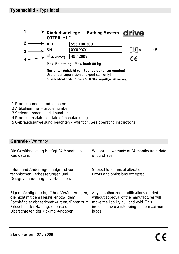

- 1 Produktname  *product name*
- 2 Artikelnummer *article number*
- 3 Seriennummer *serial number*
- 4 Produktionsdatum  *date of manufacturing*
- 5 Gebrauchsanweisung beachten *Attention: See operating instructions*

| Garantie - Warranty                                                                                                                                                                                        |                                                                                                                                                                                         |  |
|------------------------------------------------------------------------------------------------------------------------------------------------------------------------------------------------------------|-----------------------------------------------------------------------------------------------------------------------------------------------------------------------------------------|--|
| Die Gewährleistung beträgt 24 Monate ab<br>Kaufdatum.                                                                                                                                                      | We issue a warranty of 24 months from date<br>of purchase.                                                                                                                              |  |
| Irrtum und Änderungen aufgrund von<br>technischen Verbesserungen und<br>Designveränderungen vorbehalten.                                                                                                   | Subject to technical alterations.<br>Errors and omissions excepted.                                                                                                                     |  |
| Eigenmächtig durchgeführte Veränderungen,<br>die nicht mit dem Hersteller bzw. dem<br>Fachhändler abgestimmt wurden, führen zum<br>Erlöschen der Haftung; ebenso das<br>Überschreiten der Maximal-Angaben. | Any unauthorized modifications carried out<br>without approval of the manufacturer will<br>make the liability null and void. This<br>includes the overstepping of the maximum<br>loads. |  |
| Stand - as per: 07 / 2009                                                                                                                                                                                  |                                                                                                                                                                                         |  |